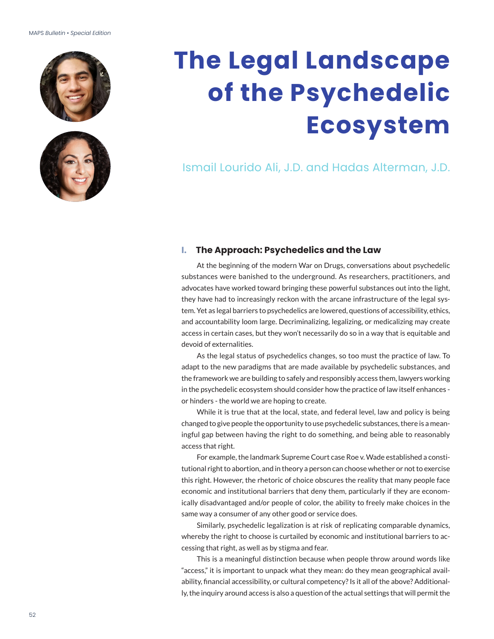#### MAPS *Bulletin* • *Special Edition*





# **The Legal Landscape of the Psychedelic Ecosystem**

Ismail Lourido Ali, J.D. and Hadas Alterman, J.D.

#### **I. The Approach: Psychedelics and the Law**

At the beginning of the modern War on Drugs, conversations about psychedelic substances were banished to the underground. As researchers, practitioners, and advocates have worked toward bringing these powerful substances out into the light, they have had to increasingly reckon with the arcane infrastructure of the legal system. Yet as legal barriers to psychedelics are lowered, questions of accessibility, ethics, and accountability loom large. Decriminalizing, legalizing, or medicalizing may create access in certain cases, but they won't necessarily do so in a way that is equitable and devoid of externalities.

As the legal status of psychedelics changes, so too must the practice of law. To adapt to the new paradigms that are made available by psychedelic substances, and the framework we are building to safely and responsibly access them, lawyers working in the psychedelic ecosystem should consider how the practice of law itself enhances or hinders - the world we are hoping to create.

While it is true that at the local, state, and federal level, law and policy is being changed to give people the opportunity to use psychedelic substances, there is a meaningful gap between having the right to do something, and being able to reasonably access that right.

For example, the landmark Supreme Court case Roe v. Wade established a constitutional right to abortion, and in theory a person can choose whether or not to exercise this right. However, the rhetoric of choice obscures the reality that many people face economic and institutional barriers that deny them, particularly if they are economically disadvantaged and/or people of color, the ability to freely make choices in the same way a consumer of any other good or service does.

Similarly, psychedelic legalization is at risk of replicating comparable dynamics, whereby the right to choose is curtailed by economic and institutional barriers to accessing that right, as well as by stigma and fear.

This is a meaningful distinction because when people throw around words like "access," it is important to unpack what they mean: do they mean geographical availability, financial accessibility, or cultural competency? Is it all of the above? Additionally, the inquiry around access is also a question of the actual settings that will permit the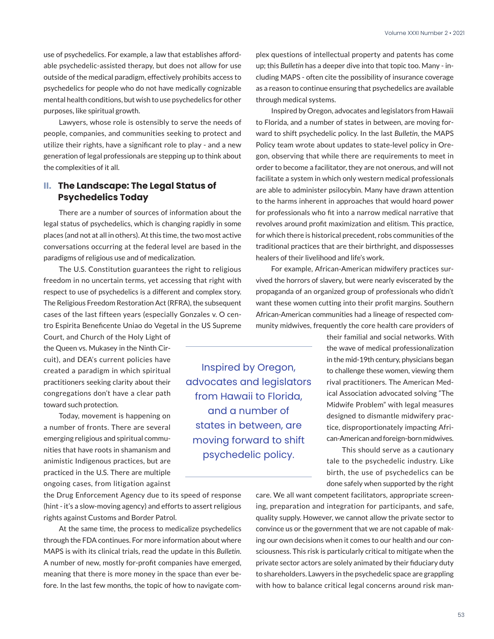use of psychedelics. For example, a law that establishes affordable psychedelic-assisted therapy, but does not allow for use outside of the medical paradigm, effectively prohibits access to psychedelics for people who do not have medically cognizable mental health conditions, but wish to use psychedelics for other purposes, like spiritual growth.

Lawyers, whose role is ostensibly to serve the needs of people, companies, and communities seeking to protect and utilize their rights, have a significant role to play - and a new generation of legal professionals are stepping up to think about the complexities of it all.

# **II. The Landscape: The Legal Status of Psychedelics Today**

There are a number of sources of information about the legal status of psychedelics, which is changing rapidly in some places (and not at all in others). At this time, the two most active conversations occurring at the federal level are based in the paradigms of religious use and of medicalization.

The U.S. Constitution guarantees the right to religious freedom in no uncertain terms, yet accessing that right with respect to use of psychedelics is a different and complex story. The Religious Freedom Restoration Act (RFRA), the subsequent cases of the last fifteen years (especially Gonzales v. O centro Espirita Beneficente Uniao do Vegetal in the US Supreme

Court, and Church of the Holy Light of the Queen vs. Mukasey in the Ninth Circuit), and DEA's current policies have created a paradigm in which spiritual practitioners seeking clarity about their congregations don't have a clear path toward such protection.

Today, movement is happening on a number of fronts. There are several emerging religious and spiritual communities that have roots in shamanism and animistic Indigenous practices, but are practiced in the U.S. There are multiple ongoing cases, from litigation against

the Drug Enforcement Agency due to its speed of response (hint - it's a slow-moving agency) and efforts to assert religious rights against Customs and Border Patrol.

At the same time, the process to medicalize psychedelics through the FDA continues. For more information about where MAPS is with its clinical trials, read the update in this *Bulletin*. A number of new, mostly for-profit companies have emerged, meaning that there is more money in the space than ever before. In the last few months, the topic of how to navigate com-

Inspired by Oregon, advocates and legislators from Hawaii to Florida, and a number of states in between, are moving forward to shift psychedelic policy.

plex questions of intellectual property and patents has come up; this *Bulletin* has a deeper dive into that topic too. Many - including MAPS - often cite the possibility of insurance coverage as a reason to continue ensuring that psychedelics are available through medical systems.

Inspired by Oregon, advocates and legislators from Hawaii to Florida, and a number of states in between, are moving forward to shift psychedelic policy. In the last *Bulletin*, the MAPS Policy team wrote about updates to state-level policy in Oregon, observing that while there are requirements to meet in order to become a facilitator, they are not onerous, and will not facilitate a system in which only western medical professionals are able to administer psilocybin. Many have drawn attention to the harms inherent in approaches that would hoard power for professionals who fit into a narrow medical narrative that revolves around profit maximization and elitism. This practice, for which there is historical precedent, robs communities of the traditional practices that are their birthright, and dispossesses healers of their livelihood and life's work.

For example, African-American midwifery practices survived the horrors of slavery, but were nearly eviscerated by the propaganda of an organized group of professionals who didn't want these women cutting into their profit margins. Southern African-American communities had a lineage of respected community midwives, frequently the core health care providers of

> their familial and social networks. With the wave of medical professionalization in the mid-19th century, physicians began to challenge these women, viewing them rival practitioners. The American Medical Association advocated solving "The Midwife Problem" with legal measures designed to dismantle midwifery practice, disproportionately impacting African-American and foreign-born midwives.

> This should serve as a cautionary tale to the psychedelic industry. Like birth, the use of psychedelics can be done safely when supported by the right

care. We all want competent facilitators, appropriate screening, preparation and integration for participants, and safe, quality supply. However, we cannot allow the private sector to convince us or the government that we are not capable of making our own decisions when it comes to our health and our consciousness. This risk is particularly critical to mitigate when the private sector actors are solely animated by their fiduciary duty to shareholders. Lawyers in the psychedelic space are grappling with how to balance critical legal concerns around risk man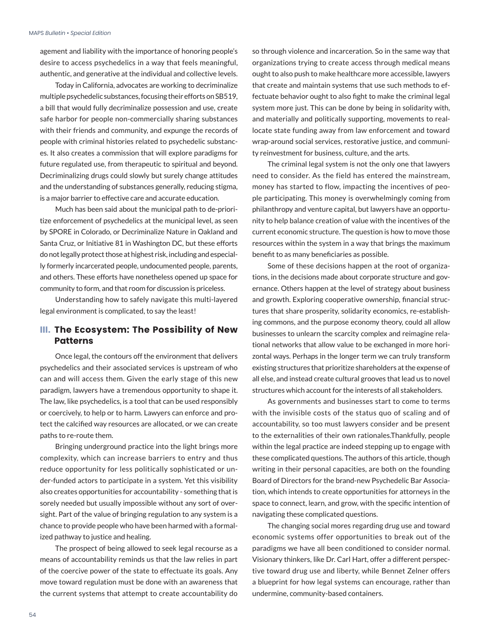agement and liability with the importance of honoring people's desire to access psychedelics in a way that feels meaningful, authentic, and generative at the individual and collective levels.

Today in California, advocates are working to decriminalize multiple psychedelic substances, focusing their efforts on SB519, a bill that would fully decriminalize possession and use, create safe harbor for people non-commercially sharing substances with their friends and community, and expunge the records of people with criminal histories related to psychedelic substances. It also creates a commission that will explore paradigms for future regulated use, from therapeutic to spiritual and beyond. Decriminalizing drugs could slowly but surely change attitudes and the understanding of substances generally, reducing stigma, is a major barrier to effective care and accurate education.

Much has been said about the municipal path to de-prioritize enforcement of psychedelics at the municipal level, as seen by SPORE in Colorado, or Decriminalize Nature in Oakland and Santa Cruz, or Initiative 81 in Washington DC, but these efforts do not legally protect those at highest risk, including and especially formerly incarcerated people, undocumented people, parents, and others. These efforts have nonetheless opened up space for community to form, and that room for discussion is priceless.

Understanding how to safely navigate this multi-layered legal environment is complicated, to say the least!

## **III. The Ecosystem: The Possibility of New Patterns**

Once legal, the contours off the environment that delivers psychedelics and their associated services is upstream of who can and will access them. Given the early stage of this new paradigm, lawyers have a tremendous opportunity to shape it. The law, like psychedelics, is a tool that can be used responsibly or coercively, to help or to harm. Lawyers can enforce and protect the calcified way resources are allocated, or we can create paths to re-route them.

Bringing underground practice into the light brings more complexity, which can increase barriers to entry and thus reduce opportunity for less politically sophisticated or under-funded actors to participate in a system. Yet this visibility also creates opportunities for accountability - something that is sorely needed but usually impossible without any sort of oversight. Part of the value of bringing regulation to any system is a chance to provide people who have been harmed with a formalized pathway to justice and healing.

The prospect of being allowed to seek legal recourse as a means of accountability reminds us that the law relies in part of the coercive power of the state to effectuate its goals. Any move toward regulation must be done with an awareness that the current systems that attempt to create accountability do so through violence and incarceration. So in the same way that organizations trying to create access through medical means ought to also push to make healthcare more accessible, lawyers that create and maintain systems that use such methods to effectuate behavior ought to also fight to make the criminal legal system more just. This can be done by being in solidarity with, and materially and politically supporting, movements to reallocate state funding away from law enforcement and toward wrap-around social services, restorative justice, and community reinvestment for business, culture, and the arts.

The criminal legal system is not the only one that lawyers need to consider. As the field has entered the mainstream, money has started to flow, impacting the incentives of people participating. This money is overwhelmingly coming from philanthropy and venture capital, but lawyers have an opportunity to help balance creation of value with the incentives of the current economic structure. The question is how to move those resources within the system in a way that brings the maximum benefit to as many beneficiaries as possible.

Some of these decisions happen at the root of organizations, in the decisions made about corporate structure and governance. Others happen at the level of strategy about business and growth. Exploring cooperative ownership, financial structures that share prosperity, solidarity economics, re-establishing commons, and the purpose economy theory, could all allow businesses to unlearn the scarcity complex and reimagine relational networks that allow value to be exchanged in more horizontal ways. Perhaps in the longer term we can truly transform existing structures that prioritize shareholders at the expense of all else, and instead create cultural grooves that lead us to novel structures which account for the interests of all stakeholders.

As governments and businesses start to come to terms with the invisible costs of the status quo of scaling and of accountability, so too must lawyers consider and be present to the externalities of their own rationales.Thankfully, people within the legal practice are indeed stepping up to engage with these complicated questions. The authors of this article, though writing in their personal capacities, are both on the founding Board of Directors for the brand-new Psychedelic Bar Association, which intends to create opportunities for attorneys in the space to connect, learn, and grow, with the specific intention of navigating these complicated questions.

The changing social mores regarding drug use and toward economic systems offer opportunities to break out of the paradigms we have all been conditioned to consider normal. Visionary thinkers, like Dr. Carl Hart, offer a different perspective toward drug use and liberty, while Bennet Zelner offers a blueprint for how legal systems can encourage, rather than undermine, community-based containers.